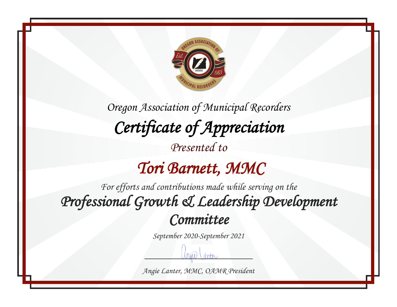

*Oregon Association of Municipal Recorders Certificate of Appreciation* 

*Presented to*

## *Tori Barnett, MMC*

*For efforts and contributions made while serving on the Professional Growth & Leadership Development Committee* 

*September 2020-September 2021*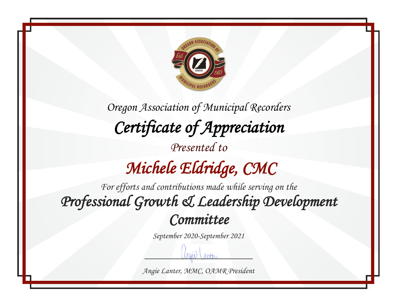

*Oregon Association of Municipal Recorders Certificate of Appreciation Presented to Michele Eldridge, CMC* 

*For efforts and contributions made while serving on the Professional Growth & Leadership Development Committee* 

*September 2020-September 2021*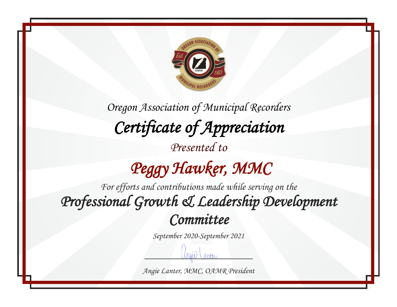

*Oregon Association of Municipal Recorders Certificate of Appreciation* 

*Presented to*

 *Peggy Hawker, MMC* 

*For efforts and contributions made while serving on the Professional Growth & Leadership Development Committee* 

*September 2020-September 2021*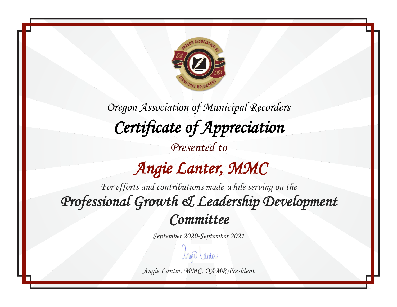

*Oregon Association of Municipal Recorders Certificate of Appreciation* 

*Presented to*

## *Angie Lanter, MMC*

*For efforts and contributions made while serving on the Professional Growth & Leadership Development Committee* 

*September 2020-September 2021*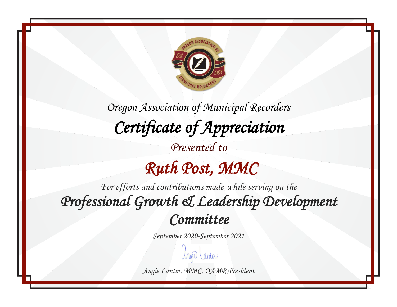

*Oregon Association of Municipal Recorders Certificate of Appreciation Presented to*

## *Ruth Post, MMC*

*For efforts and contributions made while serving on the Professional Growth & Leadership Development Committee* 

*September 2020-September 2021*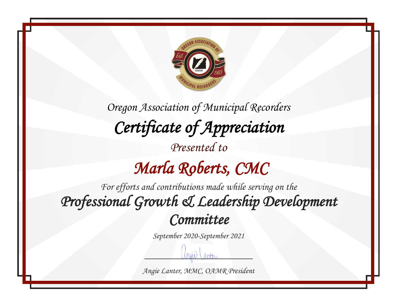

*Oregon Association of Municipal Recorders Certificate of Appreciation Presented to*

## *Marla Roberts, CMC*

*For efforts and contributions made while serving on the Professional Growth & Leadership Development Committee* 

*September 2020-September 2021*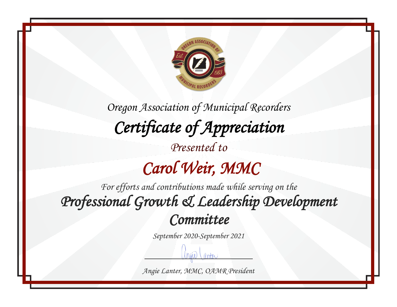

*Oregon Association of Municipal Recorders Certificate of Appreciation Presented to Carol Weir, MMC* 

*For efforts and contributions made while serving on the Professional Growth & Leadership Development Committee* 

*September 2020-September 2021*